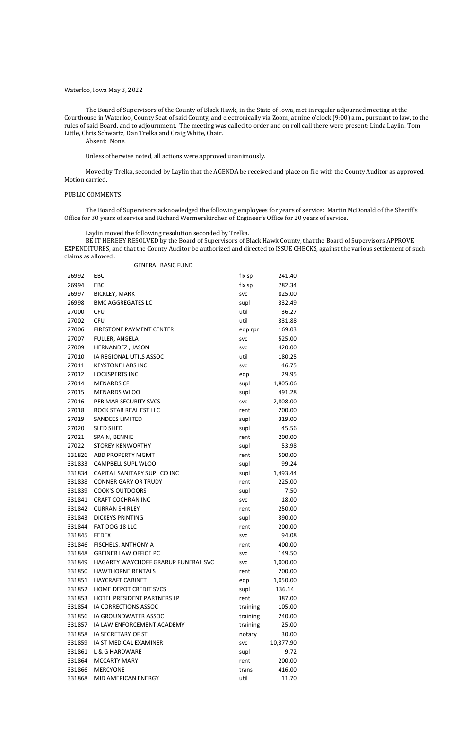# Waterloo, Iowa May 3, 2022

The Board of Supervisors of the County of Black Hawk, in the State of Iowa, met in regular adjourned meeting at the Courthouse in Waterloo, County Seat of said County, and electronically via Zoom, at nine o'clock (9:00) a.m., pursuant to law, to the rules of said Board, and to adjournment. The meeting was called to order and on roll call there were present: Linda Laylin, Tom Little, Chris Schwartz, Dan Trelka and Craig White, Chair.

Absent: None.

Unless otherwise noted, all actions were approved unanimously.

Moved by Trelka, seconded by Laylin that the AGENDA be received and place on file with the County Auditor as approved. Motion carried.

#### PUBLIC COMMENTS

The Board of Supervisors acknowledged the following employees for years of service: Martin McDonald of the Sheriff's Office for 30 years of service and Richard Wermerskirchen of Engineer's Office for 20 years of service.

Laylin moved the following resolution seconded by Trelka.

BE IT HEREBY RESOLVED by the Board of Supervisors of Black Hawk County, that the Board of Supervisors APPROVE EXPENDITURES, and that the County Auditor be authorized and directed to ISSUE CHECKS, against the various settlement of such claims as allowed:

| 26992  | EBC                                 | flx sp     | 241.40    |
|--------|-------------------------------------|------------|-----------|
| 26994  | EBC<br>flx sp                       |            | 782.34    |
| 26997  | <b>BICKLEY, MARK</b>                | <b>SVC</b> | 825.00    |
| 26998  | <b>BMC AGGREGATES LC</b>            | supl       | 332.49    |
| 27000  | <b>CFU</b>                          | util       | 36.27     |
| 27002  | <b>CFU</b>                          | util       | 331.88    |
| 27006  | <b>FIRESTONE PAYMENT CENTER</b>     | eqp rpr    | 169.03    |
| 27007  | FULLER, ANGELA                      | <b>SVC</b> | 525.00    |
| 27009  | HERNANDEZ, JASON                    | svc        | 420.00    |
| 27010  | IA REGIONAL UTILS ASSOC             | util       | 180.25    |
| 27011  | <b>KEYSTONE LABS INC</b>            | <b>SVC</b> | 46.75     |
| 27012  | <b>LOCKSPERTS INC</b>               | eqp        | 29.95     |
| 27014  | <b>MENARDS CF</b>                   | supl       | 1,805.06  |
| 27015  | <b>MENARDS WLOO</b>                 | supl       | 491.28    |
| 27016  | PER MAR SECURITY SVCS               | <b>SVC</b> | 2,808.00  |
| 27018  | ROCK STAR REAL EST LLC              | rent       | 200.00    |
| 27019  | <b>SANDEES LIMITED</b>              | supl       | 319.00    |
| 27020  | <b>SLED SHED</b>                    | supl       | 45.56     |
| 27021  | SPAIN, BENNIE                       | rent       | 200.00    |
| 27022  | <b>STOREY KENWORTHY</b>             | supl       | 53.98     |
| 331826 | ABD PROPERTY MGMT                   | rent       | 500.00    |
| 331833 | CAMPBELL SUPL WLOO                  | supl       | 99.24     |
| 331834 | CAPITAL SANITARY SUPL CO INC        | supl       | 1,493.44  |
| 331838 | <b>CONNER GARY OR TRUDY</b>         | rent       | 225.00    |
| 331839 | <b>COOK'S OUTDOORS</b>              | supl       | 7.50      |
| 331841 | <b>CRAFT COCHRAN INC</b>            | <b>SVC</b> | 18.00     |
| 331842 | <b>CURRAN SHIRLEY</b>               | rent       | 250.00    |
| 331843 | <b>DICKEYS PRINTING</b>             | supl       | 390.00    |
| 331844 | FAT DOG 18 LLC                      | rent       | 200.00    |
| 331845 | <b>FEDEX</b>                        | svc        | 94.08     |
| 331846 | <b>FISCHELS, ANTHONY A</b>          | rent       | 400.00    |
| 331848 | <b>GREINER LAW OFFICE PC</b>        | svc        | 149.50    |
| 331849 | HAGARTY WAYCHOFF GRARUP FUNERAL SVC | svc        | 1,000.00  |
| 331850 | <b>HAWTHORNE RENTALS</b>            | rent       | 200.00    |
|        | 331851 HAYCRAFT CABINET             | eqp        | 1,050.00  |
| 331852 | HOME DEPOT CREDIT SVCS              | supl       | 136.14    |
| 331853 | <b>HOTEL PRESIDENT PARTNERS LP</b>  | rent       | 387.00    |
| 331854 | IA CORRECTIONS ASSOC                | training   | 105.00    |
|        | 331856 IA GROUNDWATER ASSOC         | training   | 240.00    |
| 331857 | IA LAW ENFORCEMENT ACADEMY          | training   | 25.00     |
| 331858 | IA SECRETARY OF ST                  |            | 30.00     |
|        |                                     | notary     |           |
| 331859 | IA ST MEDICAL EXAMINER              | <b>SVC</b> | 10,377.90 |
|        | 331861 L & G HARDWARE               | supl       | 9.72      |
| 331864 | <b>MCCARTY MARY</b>                 | rent       | 200.00    |
| 331866 | <b>MERCYONE</b>                     | trans      | 416.00    |
| 331868 | MID AMERICAN ENERGY                 | util       | 11.70     |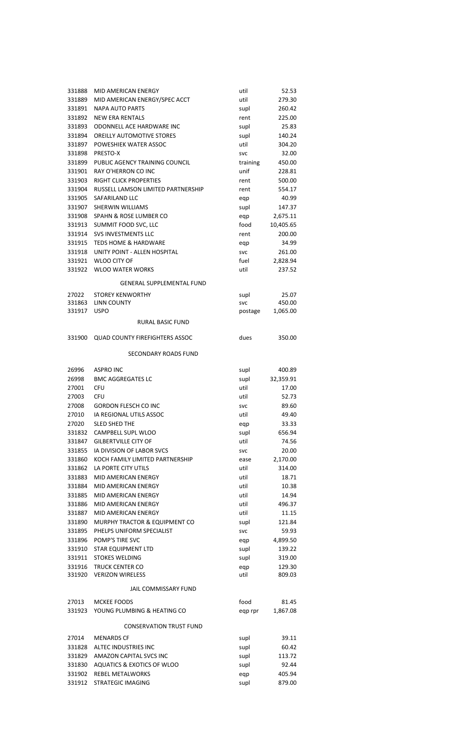| 331888 | MID AMERICAN ENERGY                   | util       | 52.53     |
|--------|---------------------------------------|------------|-----------|
| 331889 | MID AMERICAN ENERGY/SPEC ACCT         | util       | 279.30    |
| 331891 | <b>NAPA AUTO PARTS</b>                | supl       | 260.42    |
| 331892 | <b>NEW ERA RENTALS</b>                | rent       | 225.00    |
| 331893 | ODONNELL ACE HARDWARE INC             | supl       | 25.83     |
| 331894 | <b>OREILLY AUTOMOTIVE STORES</b>      | supl       | 140.24    |
| 331897 | POWESHIEK WATER ASSOC                 | util       | 304.20    |
| 331898 | PRESTO-X                              | <b>SVC</b> | 32.00     |
|        | 331899 PUBLIC AGENCY TRAINING COUNCIL | training   | 450.00    |
| 331901 | RAY O'HERRON CO INC                   | unif       | 228.81    |
| 331903 | <b>RIGHT CLICK PROPERTIES</b>         | rent       | 500.00    |
| 331904 | RUSSELL LAMSON LIMITED PARTNERSHIP    | rent       | 554.17    |
| 331905 | SAFARILAND LLC                        | eqp        | 40.99     |
| 331907 | <b>SHERWIN WILLIAMS</b>               | supl       | 147.37    |
| 331908 | SPAHN & ROSE LUMBER CO                | eqp        | 2,675.11  |
| 331913 | SUMMIT FOOD SVC, LLC                  | food       | 10,405.65 |
|        | 331914 SVS INVESTMENTS LLC            | rent       | 200.00    |
| 331915 | <b>TEDS HOME &amp; HARDWARE</b>       | eqp        | 34.99     |
| 331918 | UNITY POINT - ALLEN HOSPITAL          | <b>SVC</b> | 261.00    |
| 331921 | <b>WLOO CITY OF</b>                   | fuel       | 2,828.94  |
|        | 331922 WLOO WATER WORKS               | util       | 237.52    |
|        | <b>GENERAL SUPPLEMENTAL FUND</b>      |            |           |
| 27022  | <b>STOREY KENWORTHY</b>               | supl       | 25.07     |
| 331863 | LINN COUNTY                           | <b>SVC</b> | 450.00    |
| 331917 | <b>USPO</b>                           | postage    | 1,065.00  |
|        | <b>RURAL BASIC FUND</b>               |            |           |
| 331900 | <b>QUAD COUNTY FIREFIGHTERS ASSOC</b> | dues       | 350.00    |
|        | SECONDARY ROADS FUND                  |            |           |
| 26996  | <b>ASPRO INC</b>                      | supl       | 400.89    |
| 26998  | <b>BMC AGGREGATES LC</b>              | supl       | 32,359.91 |
| 27001  | <b>CFU</b>                            | util       | 17.00     |
| 27003  | <b>CFU</b>                            | util       | 52.73     |
| 27008  | <b>GORDON FLESCH CO INC</b>           | <b>SVC</b> | 89.60     |
| 27010  | IA REGIONAL UTILS ASSOC               | util       | 49.40     |
| 27020  | <b>SLED SHED THE</b>                  | eqp        | 33.33     |
| 331832 | CAMPBELL SUPL WLOO                    | supl       | 656.94    |
| 331847 | <b>GILBERTVILLE CITY OF</b>           | util       | 74.56     |
| 331855 | IA DIVISION OF LABOR SVCS             | <b>SVC</b> | 20.00     |
| 331860 | KOCH FAMILY LIMITED PARTNERSHIP       | ease       | 2,170.00  |
| 331862 | LA PORTE CITY UTILS                   | util       | 314.00    |
| 331883 | MID AMERICAN ENERGY                   | util       | 18.71     |
| 331884 | <b>MID AMERICAN ENERGY</b>            | util       | 10.38     |
| 331885 | MID AMERICAN ENERGY                   | util       | 14.94     |
| 331886 | MID AMERICAN ENERGY                   | util       | 496.37    |
| 331887 | MID AMERICAN ENERGY                   | util       | 11.15     |
| 331890 | MURPHY TRACTOR & EQUIPMENT CO         | supl       | 121.84    |
| 331895 | PHELPS UNIFORM SPECIALIST             | <b>SVC</b> | 59.93     |

| 331896 POMP'S TIRE SVC    | egp  | 4,899.50 |
|---------------------------|------|----------|
| 331910 STAR EQUIPMENT LTD | supl | 139.22   |
| 331911 STOKES WELDING     | supl | 319.00   |
| 331916 TRUCK CENTER CO    | eap  | 129.30   |
| 331920 VERIZON WIRELESS   | util | 809.03   |
|                           |      |          |

# JAIL COMMISSARY FUND

| 27013 | MCKEE FOODS                        | food    | 81.45    |
|-------|------------------------------------|---------|----------|
|       | 331923 YOUNG PLUMBING & HEATING CO | egp rpr | 1,867.08 |

### CONSERVATION TRUST FUND

| 27014  | <b>MENARDS CF</b>          | supl | 39.11  |
|--------|----------------------------|------|--------|
| 331828 | ALTEC INDUSTRIES INC       | supl | 60.42  |
| 331829 | AMAZON CAPITAL SVCS INC    | supl | 113.72 |
| 331830 | AQUATICS & EXOTICS OF WLOO | supl | 92.44  |
| 331902 | REBEL METALWORKS           | egp  | 405.94 |
|        | 331912 STRATEGIC IMAGING   | supl | 879.00 |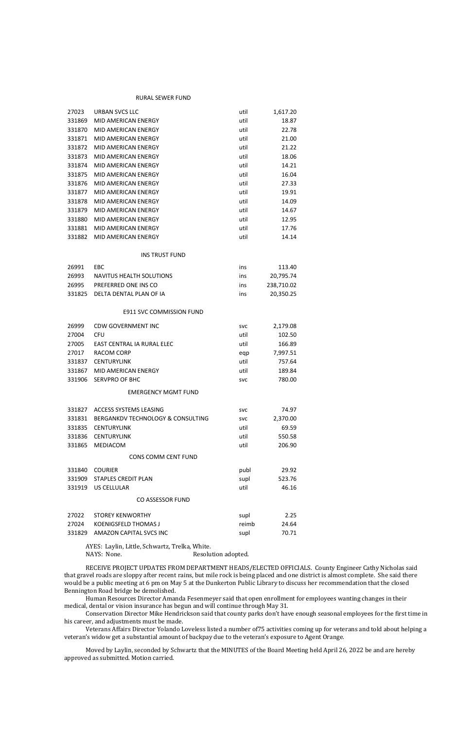#### RURAL SEWER FUND

AYES: Laylin, Little, Schwartz, Trelka, White. NAYS: None. Resolution adopted.

| 27023  | <b>URBAN SVCS LLC</b>             | util       | 1,617.20   |
|--------|-----------------------------------|------------|------------|
| 331869 | <b>MID AMERICAN ENERGY</b>        | util       | 18.87      |
| 331870 | MID AMERICAN ENERGY               | util       | 22.78      |
| 331871 | MID AMERICAN ENERGY               | util       | 21.00      |
| 331872 | MID AMERICAN ENERGY               | util       | 21.22      |
| 331873 | MID AMERICAN ENERGY               | util       | 18.06      |
| 331874 | MID AMERICAN ENERGY               | util       | 14.21      |
| 331875 | MID AMERICAN ENERGY               | util       | 16.04      |
| 331876 | MID AMERICAN ENERGY               | util       | 27.33      |
| 331877 | <b>MID AMERICAN ENERGY</b>        | util       | 19.91      |
| 331878 | MID AMERICAN ENERGY               | util       | 14.09      |
| 331879 | MID AMERICAN ENERGY               | util       | 14.67      |
| 331880 | MID AMERICAN ENERGY               | util       | 12.95      |
| 331881 | MID AMERICAN ENERGY               | util       | 17.76      |
| 331882 | MID AMERICAN ENERGY               | util       | 14.14      |
|        |                                   |            |            |
|        | <b>INS TRUST FUND</b>             |            |            |
| 26991  | <b>EBC</b>                        | ins        | 113.40     |
| 26993  | <b>NAVITUS HEALTH SOLUTIONS</b>   | ins        | 20,795.74  |
| 26995  | PREFERRED ONE INS CO              | ins        | 238,710.02 |
| 331825 | DELTA DENTAL PLAN OF IA           | ins        | 20,350.25  |
|        | E911 SVC COMMISSION FUND          |            |            |
| 26999  | <b>CDW GOVERNMENT INC</b>         | <b>SVC</b> | 2,179.08   |
| 27004  | <b>CFU</b>                        | util       | 102.50     |
| 27005  | EAST CENTRAL IA RURAL ELEC        | util       | 166.89     |
| 27017  | <b>RACOM CORP</b>                 | eqp        | 7,997.51   |
| 331837 | <b>CENTURYLINK</b>                | util       | 757.64     |
| 331867 | MID AMERICAN ENERGY               | util       | 189.84     |
| 331906 | <b>SERVPRO OF BHC</b>             | svc        | 780.00     |
|        | <b>EMERGENCY MGMT FUND</b>        |            |            |
| 331827 | ACCESS SYSTEMS LEASING            | <b>SVC</b> | 74.97      |
| 331831 | BERGANKDV TECHNOLOGY & CONSULTING | <b>SVC</b> | 2,370.00   |
| 331835 | <b>CENTURYLINK</b>                | util       | 69.59      |
| 331836 | <b>CENTURYLINK</b>                | util       | 550.58     |
| 331865 | MEDIACOM                          | util       | 206.90     |
|        | <b>CONS COMM CENT FUND</b>        |            |            |
| 331840 | <b>COURIER</b>                    | publ       | 29.92      |
| 331909 | <b>STAPLES CREDIT PLAN</b>        | supl       | 523.76     |
| 331919 | <b>US CELLULAR</b>                | util       | 46.16      |
|        | <b>CO ASSESSOR FUND</b>           |            |            |
| 27022  | <b>STOREY KENWORTHY</b>           | supl       | 2.25       |
| 27024  | <b>KOENIGSFELD THOMAS J</b>       | reimb      | 24.64      |
| 331829 | AMAZON CAPITAL SVCS INC           | supl       | 70.71      |

RECEIVE PROJECT UPDATES FROM DEPARTMENT HEADS/ELECTED OFFICIALS. County Engineer Cathy Nicholas said that gravel roads are sloppy after recent rains, but mile rock is being placed and one district is almost complete. She said there would be a public meeting at 6 pm on May 5 at the Dunkerton Public Library to discuss her recommendation that the closed Bennington Road bridge be demolished.

Human Resources Director Amanda Fesenmeyer said that open enrollment for employees wanting changes in their medical, dental or vision insurance has begun and will continue through May 31.

Conservation Director Mike Hendrickson said that county parks don't have enough seasonal employees for the first time in his career, and adjustments must be made.

Veterans Affairs Director Yolando Loveless listed a number of75 activities coming up for veterans and told about helping a veteran's widow get a substantial amount of backpay due to the veteran's exposure to Agent Orange.

Moved by Laylin, seconded by Schwartz that the MINUTES of the Board Meeting held April 26, 2022 be and are hereby approved as submitted. Motion carried.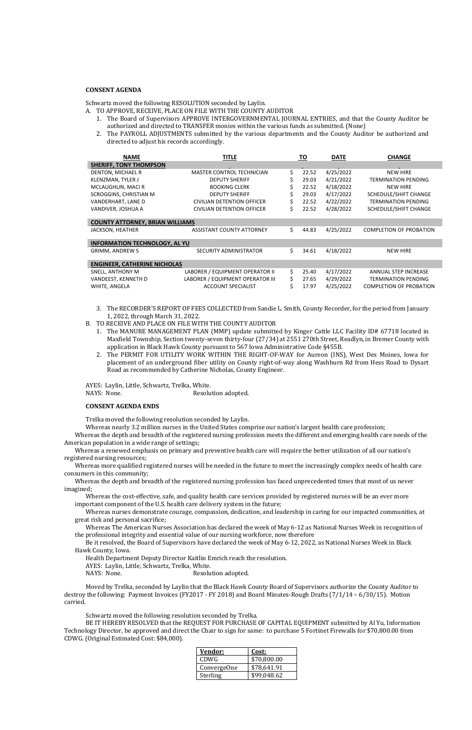# **CONSENT AGENDA**

- A. TO APPROVE, RECEIVE, PLACE ON FILE WITH THE COUNTY AUDITOR
	- 1. The Board of Supervisors APPROVE INTERGOVERNMENTAL JOURNAL ENTRIES, and that the County Auditor be authorized and directed to TRANSFER monies within the various funds as submitted. (None)
	- 2. The PAYROLL ADJUSTMENTS submitted by the various departments and the County Auditor be authorized and directed to adjust his records accordingly.

Schwartz moved the following RESOLUTION seconded by Laylin.

| <b>NAME</b>                            | <b>TITLE</b>                      |    | <u>TO</u> | <b>DATE</b> | <b>CHANGE</b>                  |
|----------------------------------------|-----------------------------------|----|-----------|-------------|--------------------------------|
| <b>SHERIFF, TONY THOMPSON</b>          |                                   |    |           |             |                                |
| DENTON, MICHAEL R                      | <b>MASTER CONTROL TECHNICIAN</b>  | Ś. | 22.52     | 4/25/2022   | <b>NEW HIRE</b>                |
| KLENZMAN, TYLER J                      | <b>DEPUTY SHERIFF</b>             | Ś. | 29.03     | 4/21/2022   | <b>TERMINATION PENDING</b>     |
| MCLAUGHLIN, MACI R                     | <b>BOOKING CLERK</b>              |    | 22.52     | 4/18/2022   | <b>NEW HIRE</b>                |
| <b>SCROGGINS, CHRISTIAN M</b>          | <b>DEPUTY SHERIFF</b>             |    | 29.03     | 4/17/2022   | SCHEDULE/SHIFT CHANGE          |
| VANDERHART, LANE D                     | CIVILIAN DETENTION OFFICER        | Ś. | 22.52     | 4/22/2022   | <b>TERMINATION PENDING</b>     |
| VANDIVER, JOSHUA A                     | <b>CIVILIAN DETENTION OFFICER</b> | Ś  | 22.52     | 4/28/2022   | SCHEDULE/SHIFT CHANGE          |
| <b>COUNTY ATTORNEY, BRIAN WILLIAMS</b> |                                   |    |           |             |                                |
| JACKSON, HEATHER                       | <b>ASSISTANT COUNTY ATTORNEY</b>  | \$ | 44.83     | 4/25/2022   | <b>COMPLETION OF PROBATION</b> |
| <b>INFORMATION TECHNOLOGY, AL YU</b>   |                                   |    |           |             |                                |
| <b>GRIMM, ANDREW S</b>                 | SECURITY ADMINISTRATOR            | \$ | 34.61     | 4/18/2022   | <b>NEW HIRE</b>                |
| <b>ENGINEER, CATHERINE NICHOLAS</b>    |                                   |    |           |             |                                |
| SNELL, ANTHONY M                       | LABORER / EQUIPMENT OPERATOR II   | Ś. | 25.40     | 4/17/2022   | <b>ANNUAL STEP INCREASE</b>    |
| VANDEEST, KENNETH D                    | LABORER / EQUIPMENT OPERATOR III  | Ś. | 27.65     | 4/29/2022   | <b>TERMINATION PENDING</b>     |
| WHITE, ANGELA                          | ACCOUNT SPECIALIST                | Ś. | 17.97     | 4/25/2022   | <b>COMPLETION OF PROBATION</b> |

- 3. The RECORDER'S REPORT OF FEES COLLECTED from Sandie L. Smith, County Recorder, for the period from January 1, 2022, through March 31, 2022.
- B. TO RECEIVE AND PLACE ON FILE WITH THE COUNTY AUDITOR
	- 1. The MANURE MANAGEMENT PLAN (MMP) update submitted by Kinger Cattle LLC Facility ID# 67718 located in Maxfield Township, Section twenty-seven thirty-four (27/34) at 2551 270th Street, Readlyn, in Bremer County with application in Black Hawk County pursuant to 567 Iowa Administrative Code §455B.
	- 2. The PERMIT FOR UTILITY WORK WITHIN THE RIGHT-OF-WAY for Aureon (INS), West Des Moines, Iowa for placement of an underground fiber utility on County right-of-way along Washburn Rd from Hess Road to Dysart Road as recommended by Catherine Nicholas, County Engineer.

AYES: Laylin, Little, Schwartz, Trelka, White.

NAYS: None. Resolution adopted.

#### **CONSENT AGENDA ENDS**

Trelka moved the following resolution seconded by Laylin.

Whereas nearly 3.2 million nurses in the United States comprise our nation's largest health care profession;

Whereas the depth and breadth of the registered nursing profession meets the different and emerging health care needs of the American population in a wide range of settings;

Whereas a renewed emphasis on primary and preventive health care will require the better utilization of all our nation's registered nursing resources;

Whereas more qualified registered nurses will be needed in the future to meet the increasingly complex needs of health care consumers in this community;

Whereas the depth and breadth of the registered nursing profession has faced unprecedented times that most of us never imagined;

Whereas the cost-effective, safe, and quality health care services provided by registered nurses will be an ever more important component of the U.S. health care delivery system in the future;

Whereas nurses demonstrate courage, compassion, dedication, and leadership in caring for our impacted communities, at great risk and personal sacrifice;

Whereas The American Nurses Association has declared the week of May 6-12 as National Nurses Week in recognition of the professional integrity and essential value of our nursing workforce, now therefore

Be it resolved, the Board of Supervisors have declared the week of May 6-12, 2022, as National Nurses Week in Black Hawk County, Iowa.

Health Department Deputy Director Kaitlin Emrich reach the resolution.

AYES: Laylin, Little, Schwartz, Trelka, White.

NAYS: None. Resolution adopted.

Moved by Trelka, seconded by Laylin that the Black Hawk County Board of Supervisors authorize the County Auditor to destroy the following: Payment Invoices (FY2017 - FY 2018) and Board Minutes-Rough Drafts (7/1/14 – 6/30/15). Motion carried.

Schwartz moved the following resolution seconded by Trelka.

BE IT HEREBY RESOLVED that the REQUEST FOR PURCHASE OF CAPITAL EQUIPMENT submitted by Al Yu, Information Technology Director, be approved and direct the Chair to sign for same: to purchase 5 Fortinet Firewalls for \$70,800.00 from CDWG. (Original Estimated Cost: \$84,000).

| Vendor:     | Cost:       |
|-------------|-------------|
| CDWG        | \$70,800.00 |
| ConvergeOne | \$78,641.91 |
| Sterling    | \$99,048.62 |